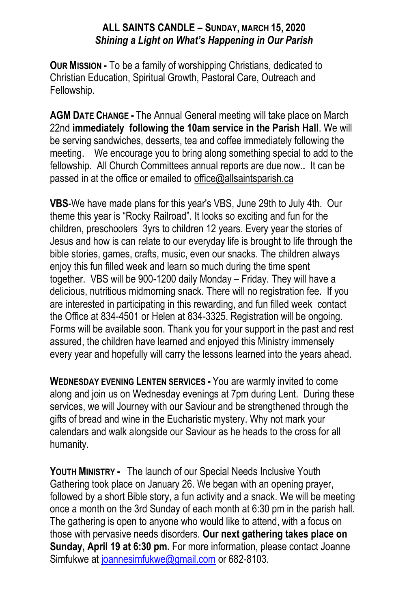## **ALL SAINTS CANDLE – SUNDAY, MARCH 15, 2020** *Shining a Light on What's Happening in Our Parish*

**OUR MISSION -** To be a family of worshipping Christians, dedicated to Christian Education, Spiritual Growth, Pastoral Care, Outreach and Fellowship.

**AGM DATE CHANGE -** The Annual General meeting will take place on March 22nd **immediately following the 10am service in the Parish Hall**. We will be serving sandwiches, desserts, tea and coffee immediately following the meeting. We encourage you to bring along something special to add to the fellowship. All Church Committees annual reports are due now.**.** It can be passed in at the office or emailed to office@allsaintsparish.ca

**VBS**-We have made plans for this year's VBS, June 29th to July 4th. Our theme this year is "Rocky Railroad". It looks so exciting and fun for the children, preschoolers 3yrs to children 12 years. Every year the stories of Jesus and how is can relate to our everyday life is brought to life through the bible stories, games, crafts, music, even our snacks. The children always enjoy this fun filled week and learn so much during the time spent together. VBS will be 900-1200 daily Monday – Friday. They will have a delicious, nutritious midmorning snack. There will no registration fee. If you are interested in participating in this rewarding, and fun filled week contact the Office at 834-4501 or Helen at 834-3325. Registration will be ongoing. Forms will be available soon. Thank you for your support in the past and rest assured, the children have learned and enjoyed this Ministry immensely every year and hopefully will carry the lessons learned into the years ahead.

**WEDNESDAY EVENING LENTEN SERVICES -** You are warmly invited to come along and join us on Wednesday evenings at 7pm during Lent. During these services, we will Journey with our Saviour and be strengthened through the gifts of bread and wine in the Eucharistic mystery. Why not mark your calendars and walk alongside our Saviour as he heads to the cross for all humanity.

**YOUTH MINISTRY -** The launch of our Special Needs Inclusive Youth Gathering took place on January 26. We began with an opening prayer, followed by a short Bible story, a fun activity and a snack. We will be meeting once a month on the 3rd Sunday of each month at 6:30 pm in the parish hall. The gathering is open to anyone who would like to attend, with a focus on those with pervasive needs disorders. **Our next gathering takes place on Sunday, April 19 at 6:30 pm.** For more information, please contact Joanne Simfukwe at [joannesimfukwe@gmail.com](mailto:joannesimfukwe@gmail.com) or 682-8103.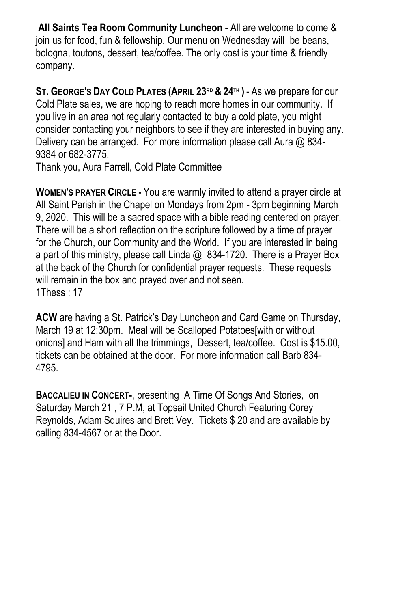**All Saints Tea Room Community Luncheon** - All are welcome to come & join us for food, fun & fellowship. Our menu on Wednesday will be beans, bologna, toutons, dessert, tea/coffee. The only cost is your time & friendly company.

**ST. GEORGE'S DAY COLD PLATES (APRIL 23RD & 24TH )** - As we prepare for our Cold Plate sales, we are hoping to reach more homes in our community. If you live in an area not regularly contacted to buy a cold plate, you might consider contacting your neighbors to see if they are interested in buying any. Delivery can be arranged. For more information please call Aura @ 834- 9384 or 682-3775.

Thank you, Aura Farrell, Cold Plate Committee

**WOMEN'S PRAYER CIRCLE -** You are warmly invited to attend a prayer circle at All Saint Parish in the Chapel on Mondays from 2pm - 3pm beginning March 9, 2020. This will be a sacred space with a bible reading centered on prayer. There will be a short reflection on the scripture followed by a time of prayer for the Church, our Community and the World. If you are interested in being a part of this ministry, please call Linda @ 834-1720. There is a Prayer Box at the back of the Church for confidential prayer requests. These requests will remain in the box and prayed over and not seen. 1Thess : 17

**ACW** are having a St. Patrick's Day Luncheon and Card Game on Thursday, March 19 at 12:30pm. Meal will be Scalloped Potatoes[with or without onions] and Ham with all the trimmings, Dessert, tea/coffee. Cost is \$15.00, tickets can be obtained at the door. For more information call Barb 834- 4795.

**BACCALIEU IN CONCERT-**, presenting A Time Of Songs And Stories, on Saturday March 21 , 7 P.M, at Topsail United Church Featuring Corey Reynolds, Adam Squires and Brett Vey. Tickets \$ 20 and are available by calling 834-4567 or at the Door.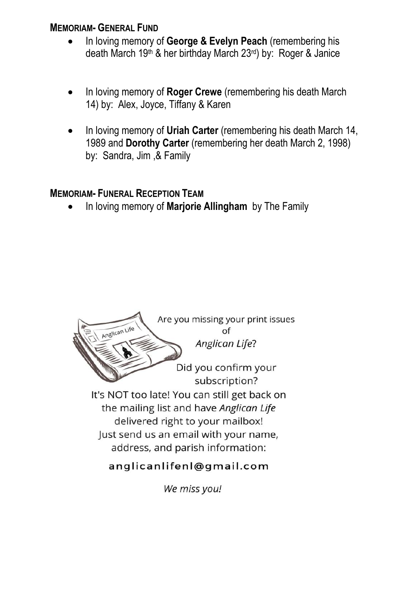## **MEMORIAM- GENERAL FUND**

- In loving memory of **George & Evelyn Peach** (remembering his death March 19th & her birthday March 23rd) by: Roger & Janice
- In loving memory of **Roger Crewe** (remembering his death March 14) by: Alex, Joyce, Tiffany & Karen
- In loving memory of **Uriah Carter** (remembering his death March 14, 1989 and **Dorothy Carter** (remembering her death March 2, 1998) by: Sandra, Jim ,& Family

## **MEMORIAM- FUNERAL RECEPTION TEAM**

In loving memory of **Marjorie Allingham** by The Family



We miss you!